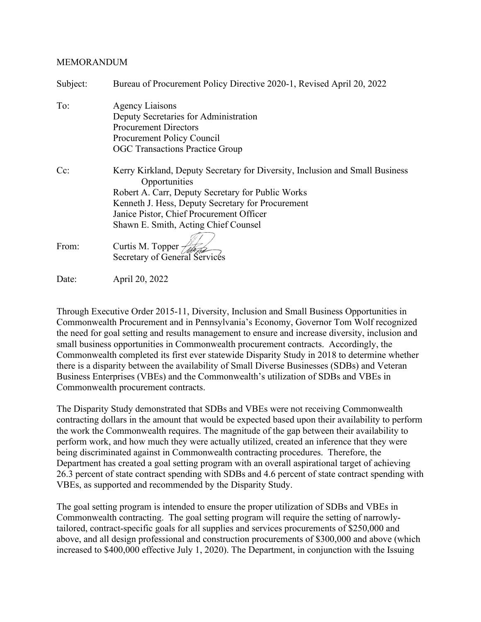#### MEMORANDUM

| Subject: | Bureau of Procurement Policy Directive 2020-1, Revised April 20, 2022                         |  |
|----------|-----------------------------------------------------------------------------------------------|--|
| To:      | <b>Agency Liaisons</b>                                                                        |  |
|          | Deputy Secretaries for Administration                                                         |  |
|          | <b>Procurement Directors</b>                                                                  |  |
|          | <b>Procurement Policy Council</b>                                                             |  |
|          | <b>OGC Transactions Practice Group</b>                                                        |  |
| $Cc$ :   | Kerry Kirkland, Deputy Secretary for Diversity, Inclusion and Small Business<br>Opportunities |  |
|          | Robert A. Carr, Deputy Secretary for Public Works                                             |  |
|          | Kenneth J. Hess, Deputy Secretary for Procurement                                             |  |
|          | Janice Pistor, Chief Procurement Officer                                                      |  |
|          | Shawn E. Smith, Acting Chief Counsel                                                          |  |
|          |                                                                                               |  |
| From:    | Curtis M. Topper                                                                              |  |
|          | Secretary of General Services                                                                 |  |
| Date:    | April 20, 2022                                                                                |  |

Through Executive Order 2015-11, Diversity, Inclusion and Small Business Opportunities in Commonwealth Procurement and in Pennsylvania's Economy, Governor Tom Wolf recognized the need for goal setting and results management to ensure and increase diversity, inclusion and small business opportunities in Commonwealth procurement contracts. Accordingly, the Commonwealth completed its first ever statewide Disparity Study in 2018 to determine whether there is a disparity between the availability of Small Diverse Businesses (SDBs) and Veteran Business Enterprises (VBEs) and the Commonwealth's utilization of SDBs and VBEs in Commonwealth procurement contracts.

The Disparity Study demonstrated that SDBs and VBEs were not receiving Commonwealth contracting dollars in the amount that would be expected based upon their availability to perform the work the Commonwealth requires. The magnitude of the gap between their availability to perform work, and how much they were actually utilized, created an inference that they were being discriminated against in Commonwealth contracting procedures. Therefore, the Department has created a goal setting program with an overall aspirational target of achieving 26.3 percent of state contract spending with SDBs and 4.6 percent of state contract spending with VBEs, as supported and recommended by the Disparity Study.

The goal setting program is intended to ensure the proper utilization of SDBs and VBEs in Commonwealth contracting. The goal setting program will require the setting of narrowlytailored, contract-specific goals for all supplies and services procurements of \$250,000 and above, and all design professional and construction procurements of \$300,000 and above (which increased to \$400,000 effective July 1, 2020). The Department, in conjunction with the Issuing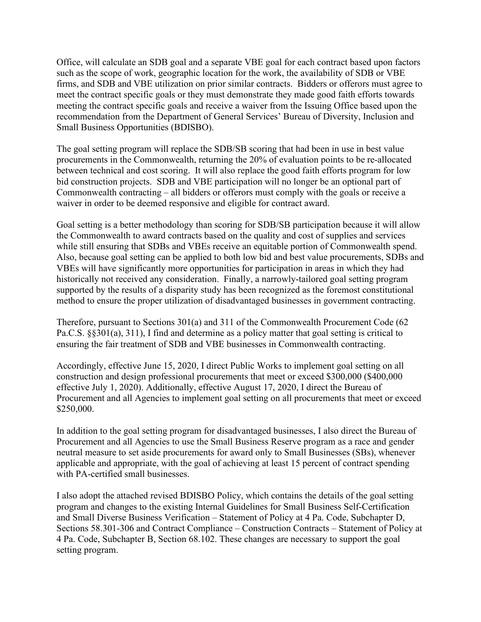Office, will calculate an SDB goal and a separate VBE goal for each contract based upon factors such as the scope of work, geographic location for the work, the availability of SDB or VBE firms, and SDB and VBE utilization on prior similar contracts. Bidders or offerors must agree to meet the contract specific goals or they must demonstrate they made good faith efforts towards meeting the contract specific goals and receive a waiver from the Issuing Office based upon the recommendation from the Department of General Services' Bureau of Diversity, Inclusion and Small Business Opportunities (BDISBO).

The goal setting program will replace the SDB/SB scoring that had been in use in best value procurements in the Commonwealth, returning the 20% of evaluation points to be re-allocated between technical and cost scoring. It will also replace the good faith efforts program for low bid construction projects. SDB and VBE participation will no longer be an optional part of Commonwealth contracting – all bidders or offerors must comply with the goals or receive a waiver in order to be deemed responsive and eligible for contract award.

Goal setting is a better methodology than scoring for SDB/SB participation because it will allow the Commonwealth to award contracts based on the quality and cost of supplies and services while still ensuring that SDBs and VBEs receive an equitable portion of Commonwealth spend. Also, because goal setting can be applied to both low bid and best value procurements, SDBs and VBEs will have significantly more opportunities for participation in areas in which they had historically not received any consideration. Finally, a narrowly-tailored goal setting program supported by the results of a disparity study has been recognized as the foremost constitutional method to ensure the proper utilization of disadvantaged businesses in government contracting.

Therefore, pursuant to Sections 301(a) and 311 of the Commonwealth Procurement Code (62 Pa.C.S. §§301(a), 311), I find and determine as a policy matter that goal setting is critical to ensuring the fair treatment of SDB and VBE businesses in Commonwealth contracting.

Accordingly, effective June 15, 2020, I direct Public Works to implement goal setting on all construction and design professional procurements that meet or exceed \$300,000 (\$400,000 effective July 1, 2020). Additionally, effective August 17, 2020, I direct the Bureau of Procurement and all Agencies to implement goal setting on all procurements that meet or exceed \$250,000.

In addition to the goal setting program for disadvantaged businesses, I also direct the Bureau of Procurement and all Agencies to use the Small Business Reserve program as a race and gender neutral measure to set aside procurements for award only to Small Businesses (SBs), whenever applicable and appropriate, with the goal of achieving at least 15 percent of contract spending with PA-certified small businesses.

I also adopt the attached revised BDISBO Policy, which contains the details of the goal setting program and changes to the existing Internal Guidelines for Small Business Self-Certification and Small Diverse Business Verification – Statement of Policy at 4 Pa. Code, Subchapter D, Sections 58.301-306 and Contract Compliance – Construction Contracts – Statement of Policy at 4 Pa. Code, Subchapter B, Section 68.102. These changes are necessary to support the goal setting program.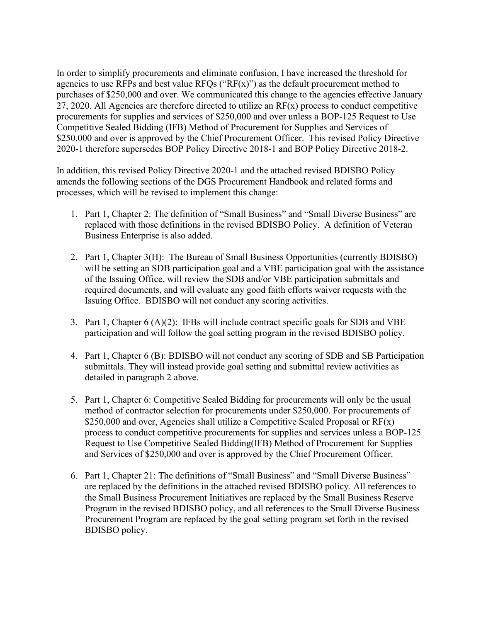In order to simplify procurements and eliminate confusion, I have increased the threshold for agencies to use RFPs and best value RFQs (" $RF(x)$ ") as the default procurement method to purchases of \$250,000 and over. We communicated this change to the agencies effective January 27, 2020. All Agencies are therefore directed to utilize an  $RF(x)$  process to conduct competitive procurements for supplies and services of \$250,000 and over unless a BOP-125 Request to Use Competitive Sealed Bidding (IFB) Method of Procurement for Supplies and Services of \$250,000 and over is approved by the Chief Procurement Officer. This revised Policy Directive 2020-1 therefore supersedes BOP Policy Directive 2018-1 and BOP Policy Directive 2018-2.

In addition, this revised Policy Directive 2020-1 and the attached revised BDISBO Policy amends the following sections of the DGS Procurement Handbook and related forms and processes, which will be revised to implement this change:

- 1. Part 1, Chapter 2: The definition of "Small Business" and "Small Diverse Business" are replaced with those definitions in the revised BDISBO Policy. A definition of Veteran Business Enterprise is also added.
- 2. Part 1, Chapter 3(H): The Bureau of Small Business Opportunities (currently BDISBO) will be setting an SDB participation goal and a VBE participation goal with the assistance of the Issuing Office, will review the SDB and/or VBE participation submittals and required documents, and will evaluate any good faith efforts waiver requests with the Issuing Office. BDISBO will not conduct any scoring activities.
- 3. Part 1, Chapter 6 (A)(2): IFBs will include contract specific goals for SDB and VBE participation and will follow the goal setting program in the revised BDISBO policy.
- 4. Part 1, Chapter 6 (B): BDISBO will not conduct any scoring of SDB and SB Participation submittals. They will instead provide goal setting and submittal review activities as detailed in paragraph 2 above.
- 5. Part 1, Chapter 6: Competitive Sealed Bidding for procurements will only be the usual method of contractor selection for procurements under \$250,000. For procurements of \$250,000 and over, Agencies shall utilize a Competitive Sealed Proposal or  $RF(x)$ process to conduct competitive procurements for supplies and services unless a BOP-125 Request to Use Competitive Sealed Bidding(IFB) Method of Procurement for Supplies and Services of \$250,000 and over is approved by the Chief Procurement Officer.
- 6. Part 1, Chapter 21: The definitions of "Small Business" and "Small Diverse Business" are replaced by the definitions in the attached revised BDISBO policy. All references to the Small Business Procurement Initiatives are replaced by the Small Business Reserve Program in the revised BDISBO policy, and all references to the Small Diverse Business Procurement Program are replaced by the goal setting program set forth in the revised BDISBO policy.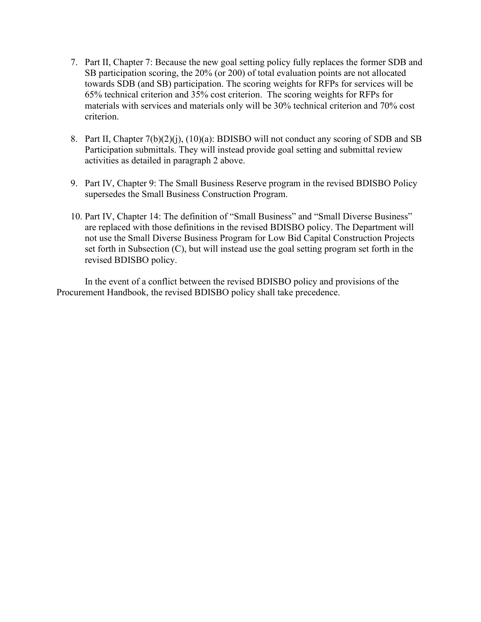- 7. Part II, Chapter 7: Because the new goal setting policy fully replaces the former SDB and SB participation scoring, the 20% (or 200) of total evaluation points are not allocated towards SDB (and SB) participation. The scoring weights for RFPs for services will be 65% technical criterion and 35% cost criterion. The scoring weights for RFPs for materials with services and materials only will be 30% technical criterion and 70% cost criterion.
- 8. Part II, Chapter 7(b)(2)(j), (10)(a): BDISBO will not conduct any scoring of SDB and SB Participation submittals. They will instead provide goal setting and submittal review activities as detailed in paragraph 2 above.
- 9. Part IV, Chapter 9: The Small Business Reserve program in the revised BDISBO Policy supersedes the Small Business Construction Program.
- 10. Part IV, Chapter 14: The definition of "Small Business" and "Small Diverse Business" are replaced with those definitions in the revised BDISBO policy. The Department will not use the Small Diverse Business Program for Low Bid Capital Construction Projects set forth in Subsection (C), but will instead use the goal setting program set forth in the revised BDISBO policy.

In the event of a conflict between the revised BDISBO policy and provisions of the Procurement Handbook, the revised BDISBO policy shall take precedence.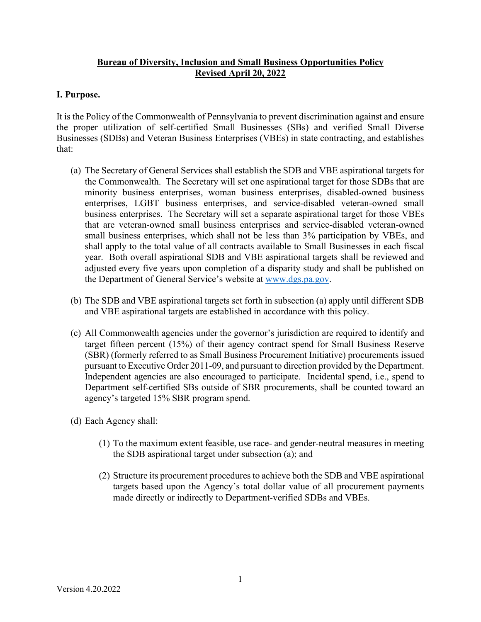# **Bureau of Diversity, Inclusion and Small Business Opportunities Policy Revised April 20, 2022**

## **I. Purpose.**

It is the Policy of the Commonwealth of Pennsylvania to prevent discrimination against and ensure the proper utilization of self-certified Small Businesses (SBs) and verified Small Diverse Businesses (SDBs) and Veteran Business Enterprises (VBEs) in state contracting, and establishes that:

- (a) The Secretary of General Services shall establish the SDB and VBE aspirational targets for the Commonwealth. The Secretary will set one aspirational target for those SDBs that are minority business enterprises, woman business enterprises, disabled-owned business enterprises, LGBT business enterprises, and service-disabled veteran-owned small business enterprises. The Secretary will set a separate aspirational target for those VBEs that are veteran-owned small business enterprises and service-disabled veteran-owned small business enterprises, which shall not be less than 3% participation by VBEs, and shall apply to the total value of all contracts available to Small Businesses in each fiscal year. Both overall aspirational SDB and VBE aspirational targets shall be reviewed and adjusted every five years upon completion of a disparity study and shall be published on the Department of General Service's website at [www.dgs.pa.gov.](http://www.dgs.pa.gov/)
- (b) The SDB and VBE aspirational targets set forth in subsection (a) apply until different SDB and VBE aspirational targets are established in accordance with this policy.
- (c) All Commonwealth agencies under the governor's jurisdiction are required to identify and target fifteen percent (15%) of their agency contract spend for Small Business Reserve (SBR) (formerly referred to as Small Business Procurement Initiative) procurements issued pursuant to Executive Order 2011-09, and pursuant to direction provided by the Department. Independent agencies are also encouraged to participate. Incidental spend, i.e., spend to Department self-certified SBs outside of SBR procurements, shall be counted toward an agency's targeted 15% SBR program spend.
- (d) Each Agency shall:
	- (1) To the maximum extent feasible, use race- and gender-neutral measures in meeting the SDB aspirational target under subsection (a); and
	- (2) Structure its procurement procedures to achieve both the SDB and VBE aspirational targets based upon the Agency's total dollar value of all procurement payments made directly or indirectly to Department-verified SDBs and VBEs.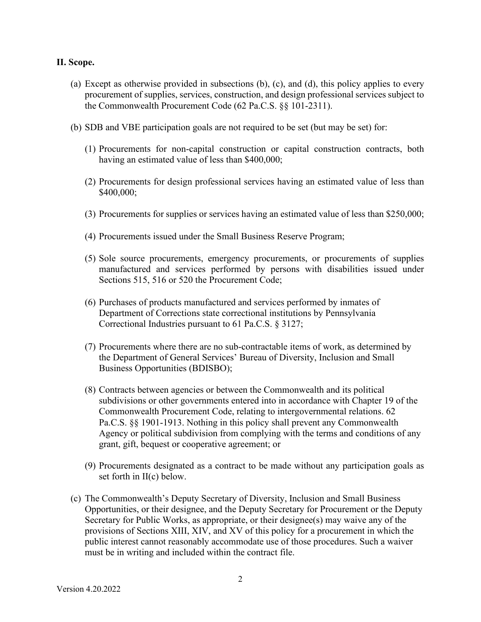#### **II. Scope.**

- (a) Except as otherwise provided in subsections (b), (c), and (d), this policy applies to every procurement of supplies, services, construction, and design professional services subject to the Commonwealth Procurement Code (62 Pa.C.S. §§ 101-2311).
- (b) SDB and VBE participation goals are not required to be set (but may be set) for:
	- (1) Procurements for non-capital construction or capital construction contracts, both having an estimated value of less than \$400,000;
	- (2) Procurements for design professional services having an estimated value of less than \$400,000;
	- (3) Procurements for supplies or services having an estimated value of less than \$250,000;
	- (4) Procurements issued under the Small Business Reserve Program;
	- (5) Sole source procurements, emergency procurements, or procurements of supplies manufactured and services performed by persons with disabilities issued under Sections 515, 516 or 520 the Procurement Code;
	- (6) Purchases of products manufactured and services performed by inmates of Department of Corrections state correctional institutions by Pennsylvania Correctional Industries pursuant to 61 Pa.C.S. § 3127;
	- (7) Procurements where there are no sub-contractable items of work, as determined by the Department of General Services' Bureau of Diversity, Inclusion and Small Business Opportunities (BDISBO);
	- (8) Contracts between agencies or between the Commonwealth and its political subdivisions or other governments entered into in accordance with Chapter 19 of the Commonwealth Procurement Code, relating to intergovernmental relations. 62 Pa.C.S. §§ 1901-1913. Nothing in this policy shall prevent any Commonwealth Agency or political subdivision from complying with the terms and conditions of any grant, gift, bequest or cooperative agreement; or
	- (9) Procurements designated as a contract to be made without any participation goals as set forth in II(c) below.
- (c) The Commonwealth's Deputy Secretary of Diversity, Inclusion and Small Business Opportunities, or their designee, and the Deputy Secretary for Procurement or the Deputy Secretary for Public Works, as appropriate, or their designee(s) may waive any of the provisions of Sections XIII, XIV, and XV of this policy for a procurement in which the public interest cannot reasonably accommodate use of those procedures. Such a waiver must be in writing and included within the contract file.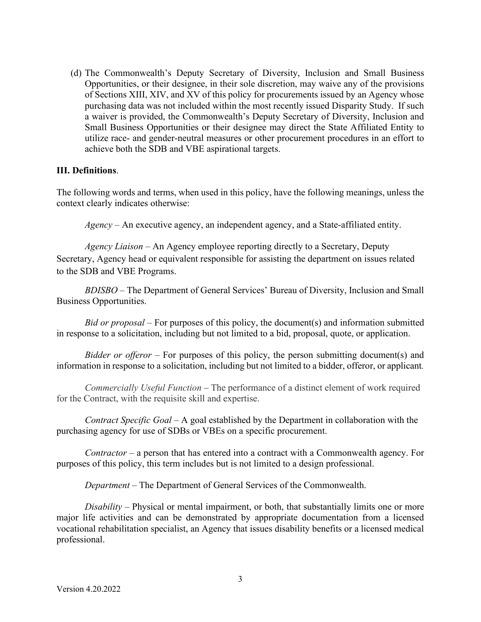(d) The Commonwealth's Deputy Secretary of Diversity, Inclusion and Small Business Opportunities, or their designee, in their sole discretion, may waive any of the provisions of Sections XIII, XIV, and XV of this policy for procurements issued by an Agency whose purchasing data was not included within the most recently issued Disparity Study. If such a waiver is provided, the Commonwealth's Deputy Secretary of Diversity, Inclusion and Small Business Opportunities or their designee may direct the State Affiliated Entity to utilize race- and gender-neutral measures or other procurement procedures in an effort to achieve both the SDB and VBE aspirational targets.

#### **III. Definitions**.

The following words and terms, when used in this policy, have the following meanings, unless the context clearly indicates otherwise:

*Agency –* An executive agency, an independent agency, and a State-affiliated entity.

*Agency Liaison* – An Agency employee reporting directly to a Secretary, Deputy Secretary, Agency head or equivalent responsible for assisting the department on issues related to the SDB and VBE Programs.

*BDISBO* – The Department of General Services' Bureau of Diversity, Inclusion and Small Business Opportunities.

*Bid or proposal* – For purposes of this policy, the document(s) and information submitted in response to a solicitation, including but not limited to a bid, proposal, quote, or application.

*Bidder or offeror* – For purposes of this policy, the person submitting document(s) and information in response to a solicitation, including but not limited to a bidder, offeror, or applicant*.* 

*Commercially Useful Function* – The performance of a distinct element of work required for the Contract, with the requisite skill and expertise.

*Contract Specific Goal* – A goal established by the Department in collaboration with the purchasing agency for use of SDBs or VBEs on a specific procurement.

*Contractor* – a person that has entered into a contract with a Commonwealth agency. For purposes of this policy, this term includes but is not limited to a design professional.

*Department* – The Department of General Services of the Commonwealth.

*Disability* – Physical or mental impairment, or both, that substantially limits one or more major life activities and can be demonstrated by appropriate documentation from a licensed vocational rehabilitation specialist, an Agency that issues disability benefits or a licensed medical professional.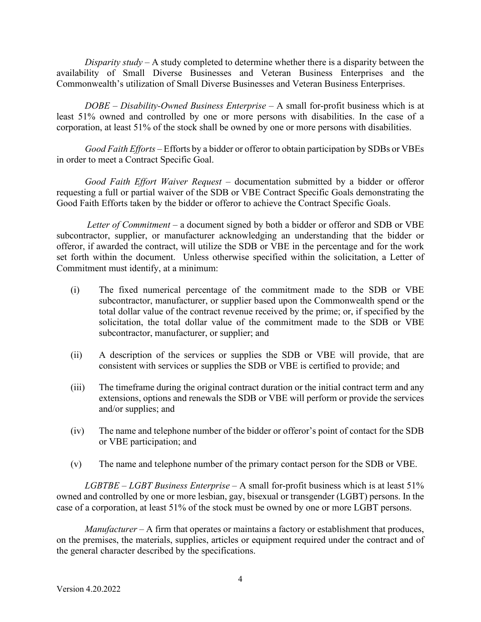*Disparity study* – A study completed to determine whether there is a disparity between the availability of Small Diverse Businesses and Veteran Business Enterprises and the Commonwealth's utilization of Small Diverse Businesses and Veteran Business Enterprises.

*DOBE* – *Disability-Owned Business Enterprise* – A small for-profit business which is at least 51% owned and controlled by one or more persons with disabilities. In the case of a corporation, at least 51% of the stock shall be owned by one or more persons with disabilities.

*Good Faith Efforts* – Efforts by a bidder or offeror to obtain participation by SDBs or VBEs in order to meet a Contract Specific Goal.

*Good Faith Effort Waiver Request* – documentation submitted by a bidder or offeror requesting a full or partial waiver of the SDB or VBE Contract Specific Goals demonstrating the Good Faith Efforts taken by the bidder or offeror to achieve the Contract Specific Goals.

*Letter of Commitment* – a document signed by both a bidder or offeror and SDB or VBE subcontractor, supplier, or manufacturer acknowledging an understanding that the bidder or offeror, if awarded the contract, will utilize the SDB or VBE in the percentage and for the work set forth within the document. Unless otherwise specified within the solicitation, a Letter of Commitment must identify, at a minimum:

- (i) The fixed numerical percentage of the commitment made to the SDB or VBE subcontractor, manufacturer, or supplier based upon the Commonwealth spend or the total dollar value of the contract revenue received by the prime; or, if specified by the solicitation, the total dollar value of the commitment made to the SDB or VBE subcontractor, manufacturer, or supplier; and
- (ii) A description of the services or supplies the SDB or VBE will provide, that are consistent with services or supplies the SDB or VBE is certified to provide; and
- (iii) The timeframe during the original contract duration or the initial contract term and any extensions, options and renewals the SDB or VBE will perform or provide the services and/or supplies; and
- (iv) The name and telephone number of the bidder or offeror's point of contact for the SDB or VBE participation; and
- (v) The name and telephone number of the primary contact person for the SDB or VBE.

*LGBTBE* – *LGBT Business Enterprise* – A small for-profit business which is at least 51% owned and controlled by one or more lesbian, gay, bisexual or transgender (LGBT) persons. In the case of a corporation, at least 51% of the stock must be owned by one or more LGBT persons.

*Manufacturer* – A firm that operates or maintains a factory or establishment that produces, on the premises, the materials, supplies, articles or equipment required under the contract and of the general character described by the specifications.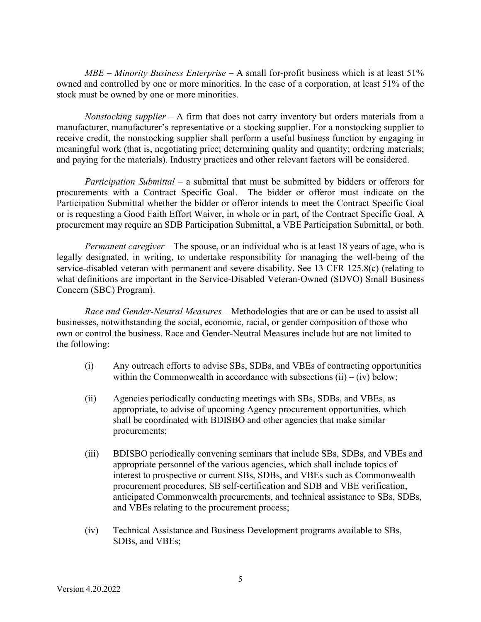*MBE* – *Minority Business Enterprise* – A small for-profit business which is at least 51% owned and controlled by one or more minorities. In the case of a corporation, at least 51% of the stock must be owned by one or more minorities.

*Nonstocking supplier –* A firm that does not carry inventory but orders materials from a manufacturer, manufacturer's representative or a stocking supplier. For a nonstocking supplier to receive credit, the nonstocking supplier shall perform a useful business function by engaging in meaningful work (that is, negotiating price; determining quality and quantity; ordering materials; and paying for the materials). Industry practices and other relevant factors will be considered.

*Participation Submittal* – a submittal that must be submitted by bidders or offerors for procurements with a Contract Specific Goal. The bidder or offeror must indicate on the Participation Submittal whether the bidder or offeror intends to meet the Contract Specific Goal or is requesting a Good Faith Effort Waiver, in whole or in part, of the Contract Specific Goal. A procurement may require an SDB Participation Submittal, a VBE Participation Submittal, or both.

*Permanent caregiver* – The spouse, or an individual who is at least 18 years of age, who is legally designated, in writing, to undertake responsibility for managing the well-being of the service-disabled veteran with permanent and severe disability. See 13 CFR 125.8(c) (relating to what definitions are important in the Service-Disabled Veteran-Owned (SDVO) Small Business Concern (SBC) Program).

*Race and Gender-Neutral Measures* – Methodologies that are or can be used to assist all businesses, notwithstanding the social, economic, racial, or gender composition of those who own or control the business. Race and Gender-Neutral Measures include but are not limited to the following:

- (i) Any outreach efforts to advise SBs, SDBs, and VBEs of contracting opportunities within the Commonwealth in accordance with subsections  $(ii) - (iv)$  below;
- (ii) Agencies periodically conducting meetings with SBs, SDBs, and VBEs, as appropriate, to advise of upcoming Agency procurement opportunities, which shall be coordinated with BDISBO and other agencies that make similar procurements;
- (iii) BDISBO periodically convening seminars that include SBs, SDBs, and VBEs and appropriate personnel of the various agencies, which shall include topics of interest to prospective or current SBs, SDBs, and VBEs such as Commonwealth procurement procedures, SB self-certification and SDB and VBE verification, anticipated Commonwealth procurements, and technical assistance to SBs, SDBs, and VBEs relating to the procurement process;
- (iv) Technical Assistance and Business Development programs available to SBs, SDBs, and VBEs;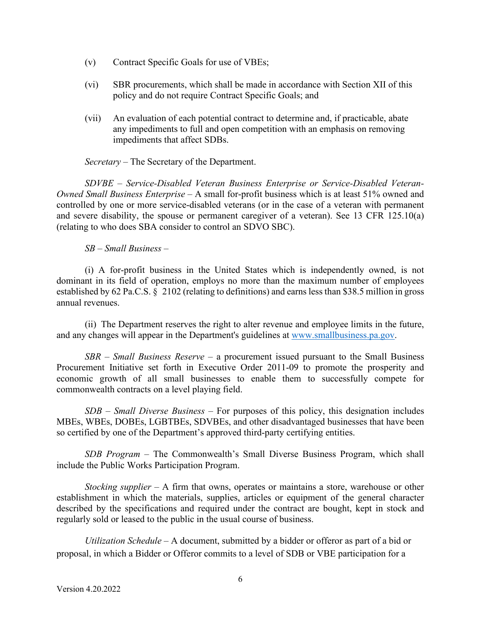- (v) Contract Specific Goals for use of VBEs;
- (vi) SBR procurements, which shall be made in accordance with Section XII of this policy and do not require Contract Specific Goals; and
- (vii) An evaluation of each potential contract to determine and, if practicable, abate any impediments to full and open competition with an emphasis on removing impediments that affect SDBs.

*Secretary* – The Secretary of the Department.

*SDVBE* – *Service-Disabled Veteran Business Enterprise or Service-Disabled Veteran-Owned Small Business Enterprise* – A small for-profit business which is at least 51% owned and controlled by one or more service-disabled veterans (or in the case of a veteran with permanent and severe disability, the spouse or permanent caregiver of a veteran). See 13 CFR 125.10(a) (relating to who does SBA consider to control an SDVO SBC).

*SB* – *Small Business* –

(i) A for-profit business in the United States which is independently owned, is not dominant in its field of operation, employs no more than the maximum number of employees established by 62 Pa.C.S. § 2102 (relating to definitions) and earns less than \$38.5 million in gross annual revenues.

(ii) The Department reserves the right to alter revenue and employee limits in the future, and any changes will appear in the Department's guidelines at [www.smallbusiness.pa.gov.](http://www.smallbusiness.pa.gov/)

*SBR* – *Small Business Reserve* – a procurement issued pursuant to the Small Business Procurement Initiative set forth in Executive Order 2011-09 to promote the prosperity and economic growth of all small businesses to enable them to successfully compete for commonwealth contracts on a level playing field.

*SDB* – *Small Diverse Business* – For purposes of this policy, this designation includes MBEs, WBEs, DOBEs, LGBTBEs, SDVBEs, and other disadvantaged businesses that have been so certified by one of the Department's approved third-party certifying entities.

*SDB Program* – The Commonwealth's Small Diverse Business Program, which shall include the Public Works Participation Program.

*Stocking supplier* – A firm that owns, operates or maintains a store, warehouse or other establishment in which the materials, supplies, articles or equipment of the general character described by the specifications and required under the contract are bought, kept in stock and regularly sold or leased to the public in the usual course of business.

*Utilization Schedule* – A document, submitted by a bidder or offeror as part of a bid or proposal, in which a Bidder or Offeror commits to a level of SDB or VBE participation for a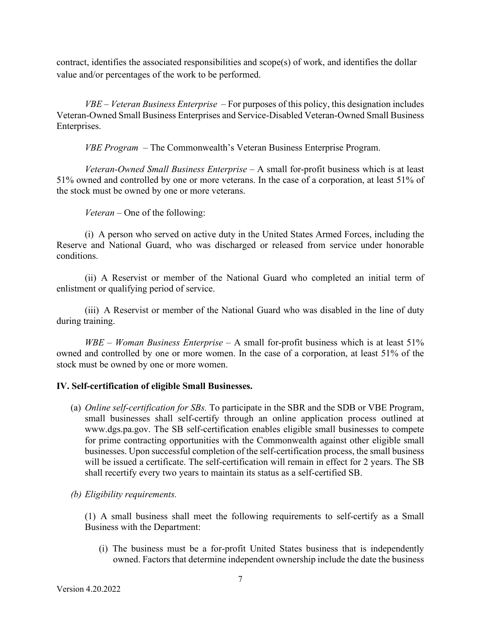contract, identifies the associated responsibilities and scope(s) of work, and identifies the dollar value and/or percentages of the work to be performed.

*VBE* – *Veteran Business Enterprise* – For purposes of this policy, this designation includes Veteran-Owned Small Business Enterprises and Service-Disabled Veteran-Owned Small Business Enterprises.

*VBE Program* – The Commonwealth's Veteran Business Enterprise Program.

*Veteran-Owned Small Business Enterprise* – A small for-profit business which is at least 51% owned and controlled by one or more veterans. In the case of a corporation, at least 51% of the stock must be owned by one or more veterans.

*Veteran* – One of the following:

(i) A person who served on active duty in the United States Armed Forces, including the Reserve and National Guard, who was discharged or released from service under honorable conditions.

(ii) A Reservist or member of the National Guard who completed an initial term of enlistment or qualifying period of service.

(iii) A Reservist or member of the National Guard who was disabled in the line of duty during training.

*WBE* – *Woman Business Enterprise* – A small for-profit business which is at least 51% owned and controlled by one or more women. In the case of a corporation, at least 51% of the stock must be owned by one or more women.

# **IV. Self-certification of eligible Small Businesses.**

- (a) *Online self-certification for SBs.* To participate in the SBR and the SDB or VBE Program, small businesses shall self-certify through an online application process outlined at www.dgs.pa.gov. The SB self-certification enables eligible small businesses to compete for prime contracting opportunities with the Commonwealth against other eligible small businesses. Upon successful completion of the self-certification process, the small business will be issued a certificate. The self-certification will remain in effect for 2 years. The SB shall recertify every two years to maintain its status as a self-certified SB.
- *(b) Eligibility requirements.*

(1) A small business shall meet the following requirements to self-certify as a Small Business with the Department:

(i) The business must be a for-profit United States business that is independently owned. Factors that determine independent ownership include the date the business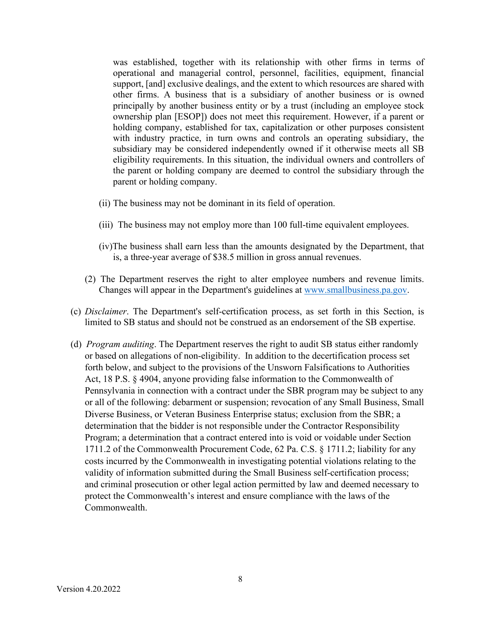was established, together with its relationship with other firms in terms of operational and managerial control, personnel, facilities, equipment, financial support, [and] exclusive dealings, and the extent to which resources are shared with other firms. A business that is a subsidiary of another business or is owned principally by another business entity or by a trust (including an employee stock ownership plan [ESOP]) does not meet this requirement. However, if a parent or holding company, established for tax, capitalization or other purposes consistent with industry practice, in turn owns and controls an operating subsidiary, the subsidiary may be considered independently owned if it otherwise meets all SB eligibility requirements. In this situation, the individual owners and controllers of the parent or holding company are deemed to control the subsidiary through the parent or holding company.

- (ii) The business may not be dominant in its field of operation.
- (iii) The business may not employ more than 100 full-time equivalent employees.
- (iv)The business shall earn less than the amounts designated by the Department, that is, a three-year average of \$38.5 million in gross annual revenues.
- (2) The Department reserves the right to alter employee numbers and revenue limits. Changes will appear in the Department's guidelines at [www.smallbusiness.pa.gov.](http://www.smallbusiness.pa.gov/)
- (c) *Disclaimer*. The Department's self-certification process, as set forth in this Section, is limited to SB status and should not be construed as an endorsement of the SB expertise.
- (d) *Program auditing*. The Department reserves the right to audit SB status either randomly or based on allegations of non-eligibility. In addition to the decertification process set forth below, and subject to the provisions of the Unsworn Falsifications to Authorities Act, 18 P.S. § 4904, anyone providing false information to the Commonwealth of Pennsylvania in connection with a contract under the SBR program may be subject to any or all of the following: debarment or suspension; revocation of any Small Business, Small Diverse Business, or Veteran Business Enterprise status; exclusion from the SBR; a determination that the bidder is not responsible under the Contractor Responsibility Program; a determination that a contract entered into is void or voidable under Section 1711.2 of the Commonwealth Procurement Code, 62 Pa. C.S. § 1711.2; liability for any costs incurred by the Commonwealth in investigating potential violations relating to the validity of information submitted during the Small Business self-certification process; and criminal prosecution or other legal action permitted by law and deemed necessary to protect the Commonwealth's interest and ensure compliance with the laws of the Commonwealth.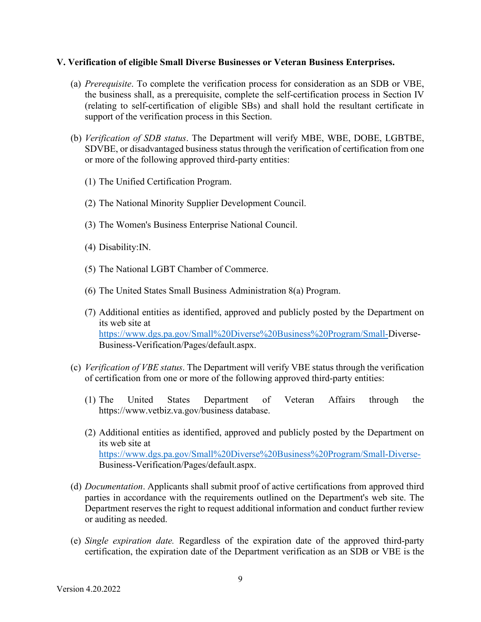#### **V. Verification of eligible Small Diverse Businesses or Veteran Business Enterprises.**

- (a) *Prerequisite*. To complete the verification process for consideration as an SDB or VBE, the business shall, as a prerequisite, complete the self-certification process in Section IV (relating to self-certification of eligible SBs) and shall hold the resultant certificate in support of the verification process in this Section.
- (b) *Verification of SDB status*. The Department will verify MBE, WBE, DOBE, LGBTBE, SDVBE, or disadvantaged business status through the verification of certification from one or more of the following approved third-party entities:
	- (1) The Unified Certification Program.
	- (2) The National Minority Supplier Development Council.
	- (3) The Women's Business Enterprise National Council.
	- (4) Disability:IN.
	- (5) The National LGBT Chamber of Commerce.
	- (6) The United States Small Business Administration 8(a) Program.
	- (7) Additional entities as identified, approved and publicly posted by the Department on its web site at [https://www.dgs.pa.gov/Small%20Diverse%20Business%20Program/Small-D](https://www.dgs.pa.gov/Small%20Diverse%20Business%20Program/Small-)iverse-Business-Verification/Pages/default.aspx.
- (c) *Verification of VBE status*. The Department will verify VBE status through the verification of certification from one or more of the following approved third-party entities:
	- (1) The United States Department of Veteran Affairs through the https://www.vetbiz.va.gov/business database.
	- (2) Additional entities as identified, approved and publicly posted by the Department on its web site at <https://www.dgs.pa.gov/Small%20Diverse%20Business%20Program/Small-Diverse->Business-Verification/Pages/default.aspx.
- (d) *Documentation*. Applicants shall submit proof of active certifications from approved third parties in accordance with the requirements outlined on the Department's web site. The Department reserves the right to request additional information and conduct further review or auditing as needed.
- (e) *Single expiration date.* Regardless of the expiration date of the approved third-party certification, the expiration date of the Department verification as an SDB or VBE is the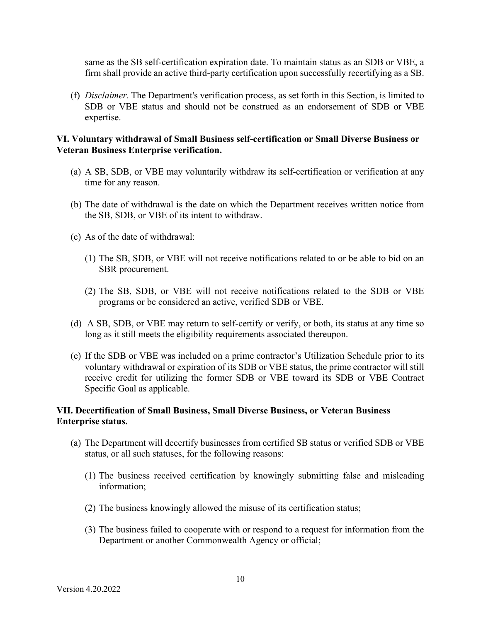same as the SB self-certification expiration date. To maintain status as an SDB or VBE, a firm shall provide an active third-party certification upon successfully recertifying as a SB.

(f) *Disclaimer*. The Department's verification process, as set forth in this Section, is limited to SDB or VBE status and should not be construed as an endorsement of SDB or VBE expertise.

## **VI. Voluntary withdrawal of Small Business self-certification or Small Diverse Business or Veteran Business Enterprise verification.**

- (a) A SB, SDB, or VBE may voluntarily withdraw its self-certification or verification at any time for any reason.
- (b) The date of withdrawal is the date on which the Department receives written notice from the SB, SDB, or VBE of its intent to withdraw.
- (c) As of the date of withdrawal:
	- (1) The SB, SDB, or VBE will not receive notifications related to or be able to bid on an SBR procurement.
	- (2) The SB, SDB, or VBE will not receive notifications related to the SDB or VBE programs or be considered an active, verified SDB or VBE.
- (d) A SB, SDB, or VBE may return to self-certify or verify, or both, its status at any time so long as it still meets the eligibility requirements associated thereupon.
- (e) If the SDB or VBE was included on a prime contractor's Utilization Schedule prior to its voluntary withdrawal or expiration of its SDB or VBE status, the prime contractor will still receive credit for utilizing the former SDB or VBE toward its SDB or VBE Contract Specific Goal as applicable.

### **VII. Decertification of Small Business, Small Diverse Business, or Veteran Business Enterprise status.**

- (a) The Department will decertify businesses from certified SB status or verified SDB or VBE status, or all such statuses, for the following reasons:
	- (1) The business received certification by knowingly submitting false and misleading information;
	- (2) The business knowingly allowed the misuse of its certification status;
	- (3) The business failed to cooperate with or respond to a request for information from the Department or another Commonwealth Agency or official;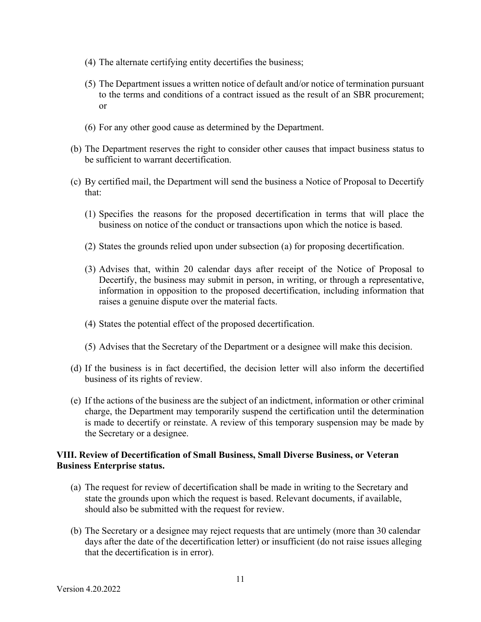- (4) The alternate certifying entity decertifies the business;
- (5) The Department issues a written notice of default and/or notice of termination pursuant to the terms and conditions of a contract issued as the result of an SBR procurement; or
- (6) For any other good cause as determined by the Department.
- (b) The Department reserves the right to consider other causes that impact business status to be sufficient to warrant decertification.
- (c) By certified mail, the Department will send the business a Notice of Proposal to Decertify that:
	- (1) Specifies the reasons for the proposed decertification in terms that will place the business on notice of the conduct or transactions upon which the notice is based.
	- (2) States the grounds relied upon under subsection (a) for proposing decertification.
	- (3) Advises that, within 20 calendar days after receipt of the Notice of Proposal to Decertify, the business may submit in person, in writing, or through a representative, information in opposition to the proposed decertification, including information that raises a genuine dispute over the material facts.
	- (4) States the potential effect of the proposed decertification.
	- (5) Advises that the Secretary of the Department or a designee will make this decision.
- (d) If the business is in fact decertified, the decision letter will also inform the decertified business of its rights of review.
- (e) If the actions of the business are the subject of an indictment, information or other criminal charge, the Department may temporarily suspend the certification until the determination is made to decertify or reinstate. A review of this temporary suspension may be made by the Secretary or a designee.

## **VIII. Review of Decertification of Small Business, Small Diverse Business, or Veteran Business Enterprise status.**

- (a) The request for review of decertification shall be made in writing to the Secretary and state the grounds upon which the request is based. Relevant documents, if available, should also be submitted with the request for review.
- (b) The Secretary or a designee may reject requests that are untimely (more than 30 calendar days after the date of the decertification letter) or insufficient (do not raise issues alleging that the decertification is in error).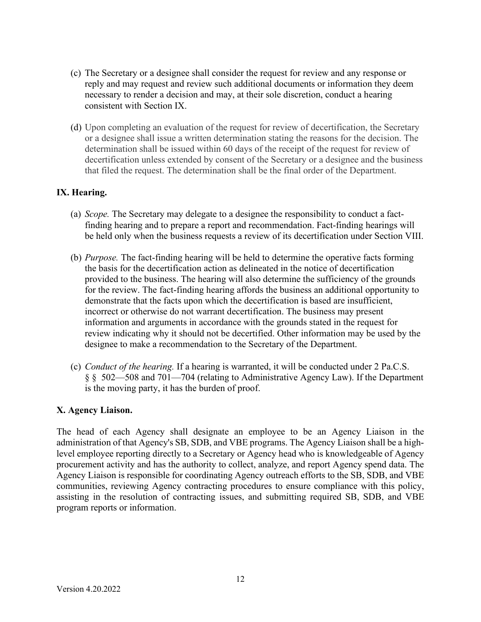- (c) The Secretary or a designee shall consider the request for review and any response or reply and may request and review such additional documents or information they deem necessary to render a decision and may, at their sole discretion, conduct a hearing consistent with Section IX.
- (d) Upon completing an evaluation of the request for review of decertification, the Secretary or a designee shall issue a written determination stating the reasons for the decision. The determination shall be issued within 60 days of the receipt of the request for review of decertification unless extended by consent of the Secretary or a designee and the business that filed the request. The determination shall be the final order of the Department.

# **IX. Hearing.**

- (a) *Scope.* The Secretary may delegate to a designee the responsibility to conduct a factfinding hearing and to prepare a report and recommendation. Fact-finding hearings will be held only when the business requests a review of its decertification under Section VIII.
- (b) *Purpose.* The fact-finding hearing will be held to determine the operative facts forming the basis for the decertification action as delineated in the notice of decertification provided to the business. The hearing will also determine the sufficiency of the grounds for the review. The fact-finding hearing affords the business an additional opportunity to demonstrate that the facts upon which the decertification is based are insufficient, incorrect or otherwise do not warrant decertification. The business may present information and arguments in accordance with the grounds stated in the request for review indicating why it should not be decertified. Other information may be used by the designee to make a recommendation to the Secretary of the Department.
- (c) *Conduct of the hearing.* If a hearing is warranted, it will be conducted under 2 Pa.C.S. § § 502—508 and 701—704 (relating to Administrative Agency Law). If the Department is the moving party, it has the burden of proof.

# **X. Agency Liaison.**

The head of each Agency shall designate an employee to be an Agency Liaison in the administration of that Agency's SB, SDB, and VBE programs. The Agency Liaison shall be a highlevel employee reporting directly to a Secretary or Agency head who is knowledgeable of Agency procurement activity and has the authority to collect, analyze, and report Agency spend data. The Agency Liaison is responsible for coordinating Agency outreach efforts to the SB, SDB, and VBE communities, reviewing Agency contracting procedures to ensure compliance with this policy, assisting in the resolution of contracting issues, and submitting required SB, SDB, and VBE program reports or information.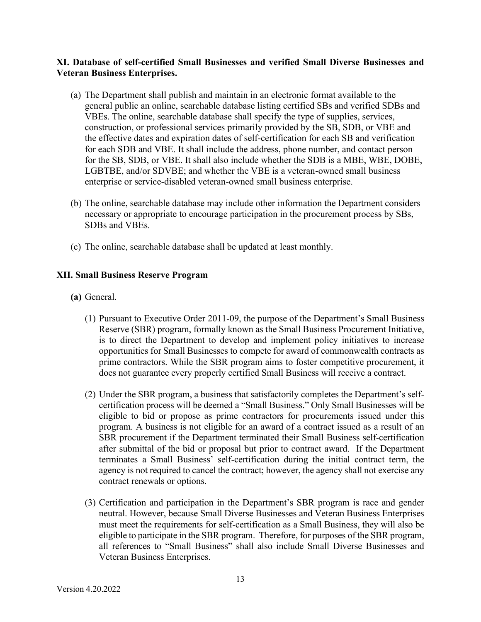## **XI. Database of self-certified Small Businesses and verified Small Diverse Businesses and Veteran Business Enterprises.**

- (a) The Department shall publish and maintain in an electronic format available to the general public an online, searchable database listing certified SBs and verified SDBs and VBEs. The online, searchable database shall specify the type of supplies, services, construction, or professional services primarily provided by the SB, SDB, or VBE and the effective dates and expiration dates of self-certification for each SB and verification for each SDB and VBE. It shall include the address, phone number, and contact person for the SB, SDB, or VBE. It shall also include whether the SDB is a MBE, WBE, DOBE, LGBTBE, and/or SDVBE; and whether the VBE is a veteran-owned small business enterprise or service-disabled veteran-owned small business enterprise.
- (b) The online, searchable database may include other information the Department considers necessary or appropriate to encourage participation in the procurement process by SBs, SDBs and VBEs.
- (c) The online, searchable database shall be updated at least monthly.

# **XII. Small Business Reserve Program**

- **(a)** General.
	- (1) Pursuant to Executive Order 2011-09, the purpose of the Department's Small Business Reserve (SBR) program, formally known as the Small Business Procurement Initiative, is to direct the Department to develop and implement policy initiatives to increase opportunities for Small Businesses to compete for award of commonwealth contracts as prime contractors. While the SBR program aims to foster competitive procurement, it does not guarantee every properly certified Small Business will receive a contract.
	- (2) Under the SBR program, a business that satisfactorily completes the Department's selfcertification process will be deemed a "Small Business." Only Small Businesses will be eligible to bid or propose as prime contractors for procurements issued under this program. A business is not eligible for an award of a contract issued as a result of an SBR procurement if the Department terminated their Small Business self-certification after submittal of the bid or proposal but prior to contract award. If the Department terminates a Small Business' self-certification during the initial contract term, the agency is not required to cancel the contract; however, the agency shall not exercise any contract renewals or options.
	- (3) Certification and participation in the Department's SBR program is race and gender neutral. However, because Small Diverse Businesses and Veteran Business Enterprises must meet the requirements for self-certification as a Small Business, they will also be eligible to participate in the SBR program. Therefore, for purposes of the SBR program, all references to "Small Business" shall also include Small Diverse Businesses and Veteran Business Enterprises.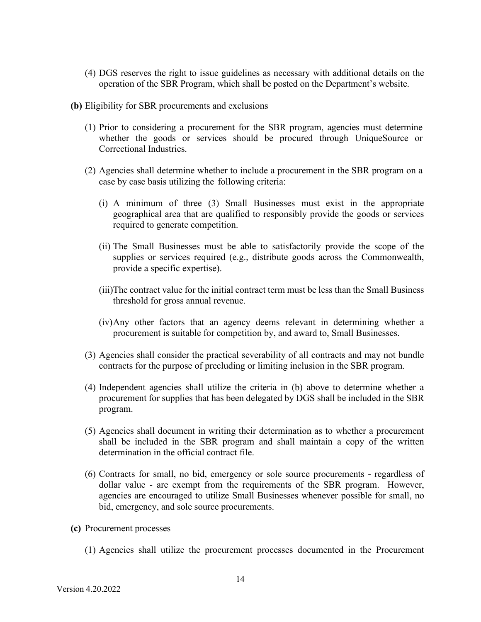- (4) DGS reserves the right to issue guidelines as necessary with additional details on the operation of the SBR Program, which shall be posted on the Department's website.
- **(b)** Eligibility for SBR procurements and exclusions
	- (1) Prior to considering a procurement for the SBR program, agencies must determine whether the goods or services should be procured through UniqueSource or Correctional Industries.
	- (2) Agencies shall determine whether to include a procurement in the SBR program on a case by case basis utilizing the following criteria:
		- (i) A minimum of three (3) Small Businesses must exist in the appropriate geographical area that are qualified to responsibly provide the goods or services required to generate competition.
		- (ii) The Small Businesses must be able to satisfactorily provide the scope of the supplies or services required (e.g., distribute goods across the Commonwealth, provide a specific expertise).
		- (iii)The contract value for the initial contract term must be less than the Small Business threshold for gross annual revenue.
		- (iv)Any other factors that an agency deems relevant in determining whether a procurement is suitable for competition by, and award to, Small Businesses.
	- (3) Agencies shall consider the practical severability of all contracts and may not bundle contracts for the purpose of precluding or limiting inclusion in the SBR program.
	- (4) Independent agencies shall utilize the criteria in (b) above to determine whether a procurement for supplies that has been delegated by DGS shall be included in the SBR program.
	- (5) Agencies shall document in writing their determination as to whether a procurement shall be included in the SBR program and shall maintain a copy of the written determination in the official contract file.
	- (6) Contracts for small, no bid, emergency or sole source procurements regardless of dollar value - are exempt from the requirements of the SBR program. However, agencies are encouraged to utilize Small Businesses whenever possible for small, no bid, emergency, and sole source procurements.
- **(c)** Procurement processes
	- (1) Agencies shall utilize the procurement processes documented in the Procurement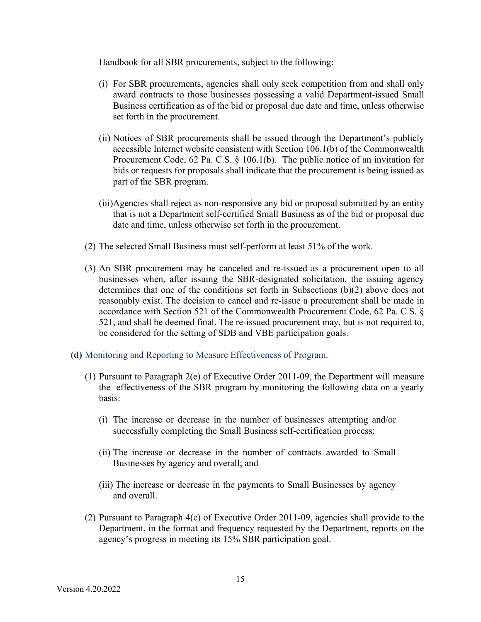Handbook for all SBR procurements, subject to the following:

- (i) For SBR procurements, agencies shall only seek competition from and shall only award contracts to those businesses possessing a valid Department-issued Small Business certification as of the bid or proposal due date and time, unless otherwise set forth in the procurement.
- (ii) Notices of SBR procurements shall be issued through the Department's publicly accessible Internet website consistent with Section 106.1(b) of the Commonwealth Procurement Code, 62 Pa. C.S. § 106.1(b). The public notice of an invitation for bids or requests for proposals shall indicate that the procurement is being issued as part of the SBR program.
- (iii)Agencies shall reject as non-responsive any bid or proposal submitted by an entity that is not a Department self-certified Small Business as of the bid or proposal due date and time, unless otherwise set forth in the procurement.
- (2) The selected Small Business must self-perform at least 51% of the work.
- (3) An SBR procurement may be canceled and re-issued as a procurement open to all businesses when, after issuing the SBR-designated solicitation, the issuing agency determines that one of the conditions set forth in Subsections (b)(2) above does not reasonably exist. The decision to cancel and re-issue a procurement shall be made in accordance with Section 521 of the Commonwealth Procurement Code, 62 Pa. C.S. § 521, and shall be deemed final. The re-issued procurement may, but is not required to, be considered for the setting of SDB and VBE participation goals.
- **(d)** Monitoring and Reporting to Measure Effectiveness of Program.
	- (1) Pursuant to Paragraph 2(e) of Executive Order 2011-09, the Department will measure the effectiveness of the SBR program by monitoring the following data on a yearly basis:
		- (i) The increase or decrease in the number of businesses attempting and/or successfully completing the Small Business self-certification process;
		- (ii) The increase or decrease in the number of contracts awarded to Small Businesses by agency and overall; and
		- (iii) The increase or decrease in the payments to Small Businesses by agency and overall.
	- (2) Pursuant to Paragraph 4(c) of Executive Order 2011-09, agencies shall provide to the Department, in the format and frequency requested by the Department, reports on the agency's progress in meeting its 15% SBR participation goal.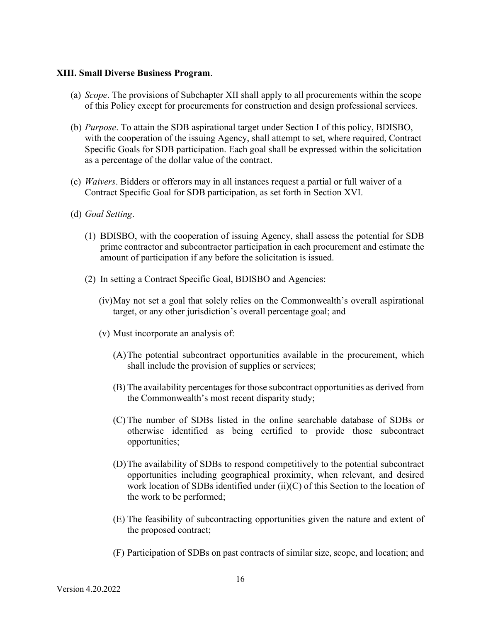#### **XIII. Small Diverse Business Program**.

- (a) *Scope*. The provisions of Subchapter XII shall apply to all procurements within the scope of this Policy except for procurements for construction and design professional services.
- (b) *Purpose*. To attain the SDB aspirational target under Section I of this policy, BDISBO, with the cooperation of the issuing Agency, shall attempt to set, where required, Contract Specific Goals for SDB participation. Each goal shall be expressed within the solicitation as a percentage of the dollar value of the contract.
- (c) *Waivers*. Bidders or offerors may in all instances request a partial or full waiver of a Contract Specific Goal for SDB participation, as set forth in Section XVI.
- (d) *Goal Setting*.
	- (1) BDISBO, with the cooperation of issuing Agency, shall assess the potential for SDB prime contractor and subcontractor participation in each procurement and estimate the amount of participation if any before the solicitation is issued.
	- (2) In setting a Contract Specific Goal, BDISBO and Agencies:
		- (iv)May not set a goal that solely relies on the Commonwealth's overall aspirational target, or any other jurisdiction's overall percentage goal; and
		- (v) Must incorporate an analysis of:
			- (A)The potential subcontract opportunities available in the procurement, which shall include the provision of supplies or services;
			- (B) The availability percentages for those subcontract opportunities as derived from the Commonwealth's most recent disparity study;
			- (C) The number of SDBs listed in the online searchable database of SDBs or otherwise identified as being certified to provide those subcontract opportunities;
			- (D)The availability of SDBs to respond competitively to the potential subcontract opportunities including geographical proximity, when relevant, and desired work location of SDBs identified under (ii)(C) of this Section to the location of the work to be performed;
			- (E) The feasibility of subcontracting opportunities given the nature and extent of the proposed contract;
			- (F) Participation of SDBs on past contracts of similar size, scope, and location; and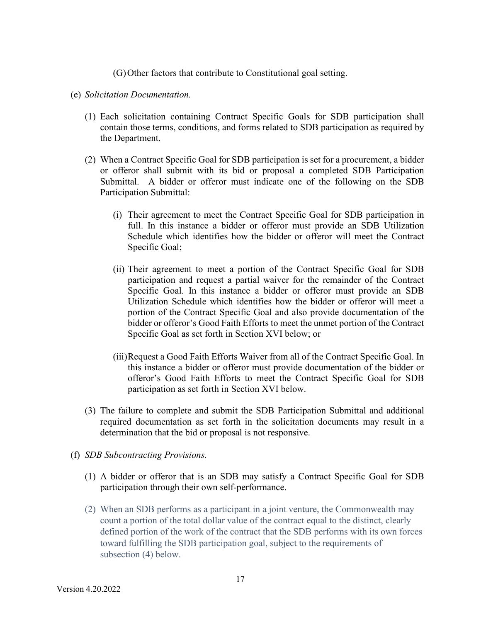(G)Other factors that contribute to Constitutional goal setting.

- (e) *Solicitation Documentation.*
	- (1) Each solicitation containing Contract Specific Goals for SDB participation shall contain those terms, conditions, and forms related to SDB participation as required by the Department.
	- (2) When a Contract Specific Goal for SDB participation is set for a procurement, a bidder or offeror shall submit with its bid or proposal a completed SDB Participation Submittal. A bidder or offeror must indicate one of the following on the SDB Participation Submittal:
		- (i) Their agreement to meet the Contract Specific Goal for SDB participation in full. In this instance a bidder or offeror must provide an SDB Utilization Schedule which identifies how the bidder or offeror will meet the Contract Specific Goal;
		- (ii) Their agreement to meet a portion of the Contract Specific Goal for SDB participation and request a partial waiver for the remainder of the Contract Specific Goal. In this instance a bidder or offeror must provide an SDB Utilization Schedule which identifies how the bidder or offeror will meet a portion of the Contract Specific Goal and also provide documentation of the bidder or offeror's Good Faith Efforts to meet the unmet portion of the Contract Specific Goal as set forth in Section XVI below; or
		- (iii)Request a Good Faith Efforts Waiver from all of the Contract Specific Goal. In this instance a bidder or offeror must provide documentation of the bidder or offeror's Good Faith Efforts to meet the Contract Specific Goal for SDB participation as set forth in Section XVI below.
	- (3) The failure to complete and submit the SDB Participation Submittal and additional required documentation as set forth in the solicitation documents may result in a determination that the bid or proposal is not responsive.
- (f) *SDB Subcontracting Provisions.*
	- (1) A bidder or offeror that is an SDB may satisfy a Contract Specific Goal for SDB participation through their own self-performance.
	- (2) When an SDB performs as a participant in a joint venture, the Commonwealth may count a portion of the total dollar value of the contract equal to the distinct, clearly defined portion of the work of the contract that the SDB performs with its own forces toward fulfilling the SDB participation goal, subject to the requirements of subsection (4) below.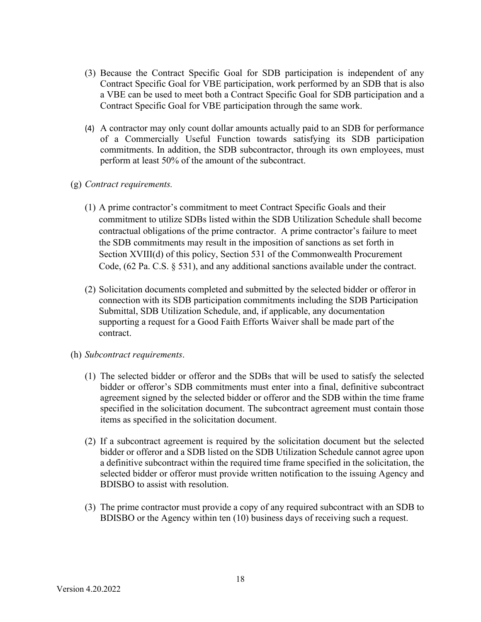- (3) Because the Contract Specific Goal for SDB participation is independent of any Contract Specific Goal for VBE participation, work performed by an SDB that is also a VBE can be used to meet both a Contract Specific Goal for SDB participation and a Contract Specific Goal for VBE participation through the same work.
- (4) A contractor may only count dollar amounts actually paid to an SDB for performance of a Commercially Useful Function towards satisfying its SDB participation commitments. In addition, the SDB subcontractor, through its own employees, must perform at least 50% of the amount of the subcontract.
- (g) *Contract requirements.* 
	- (1) A prime contractor's commitment to meet Contract Specific Goals and their commitment to utilize SDBs listed within the SDB Utilization Schedule shall become contractual obligations of the prime contractor. A prime contractor's failure to meet the SDB commitments may result in the imposition of sanctions as set forth in Section XVIII(d) of this policy, Section 531 of the Commonwealth Procurement Code,  $(62 \text{ Pa. C.S. } § 531)$ , and any additional sanctions available under the contract.
	- (2) Solicitation documents completed and submitted by the selected bidder or offeror in connection with its SDB participation commitments including the SDB Participation Submittal, SDB Utilization Schedule, and, if applicable, any documentation supporting a request for a Good Faith Efforts Waiver shall be made part of the contract.
- (h) *Subcontract requirements*.
	- (1) The selected bidder or offeror and the SDBs that will be used to satisfy the selected bidder or offeror's SDB commitments must enter into a final, definitive subcontract agreement signed by the selected bidder or offeror and the SDB within the time frame specified in the solicitation document. The subcontract agreement must contain those items as specified in the solicitation document.
	- (2) If a subcontract agreement is required by the solicitation document but the selected bidder or offeror and a SDB listed on the SDB Utilization Schedule cannot agree upon a definitive subcontract within the required time frame specified in the solicitation, the selected bidder or offeror must provide written notification to the issuing Agency and BDISBO to assist with resolution.
	- (3) The prime contractor must provide a copy of any required subcontract with an SDB to BDISBO or the Agency within ten (10) business days of receiving such a request.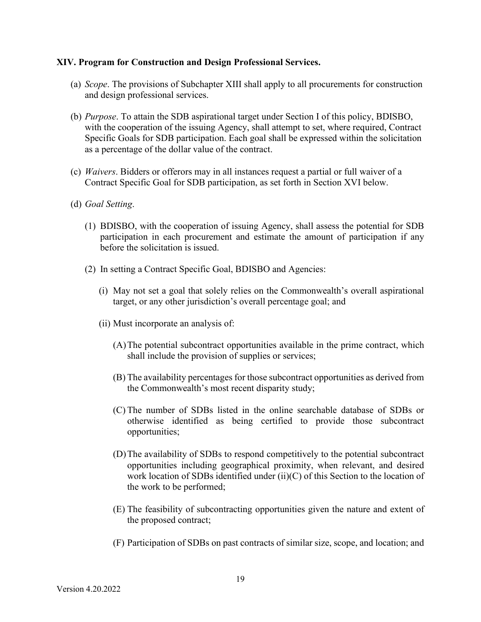#### **XIV. Program for Construction and Design Professional Services.**

- (a) *Scope*. The provisions of Subchapter XIII shall apply to all procurements for construction and design professional services.
- (b) *Purpose*. To attain the SDB aspirational target under Section I of this policy, BDISBO, with the cooperation of the issuing Agency, shall attempt to set, where required, Contract Specific Goals for SDB participation. Each goal shall be expressed within the solicitation as a percentage of the dollar value of the contract.
- (c) *Waivers*. Bidders or offerors may in all instances request a partial or full waiver of a Contract Specific Goal for SDB participation, as set forth in Section XVI below.
- (d) *Goal Setting*.
	- (1) BDISBO, with the cooperation of issuing Agency, shall assess the potential for SDB participation in each procurement and estimate the amount of participation if any before the solicitation is issued.
	- (2) In setting a Contract Specific Goal, BDISBO and Agencies:
		- (i) May not set a goal that solely relies on the Commonwealth's overall aspirational target, or any other jurisdiction's overall percentage goal; and
		- (ii) Must incorporate an analysis of:
			- (A)The potential subcontract opportunities available in the prime contract, which shall include the provision of supplies or services;
			- (B) The availability percentages for those subcontract opportunities as derived from the Commonwealth's most recent disparity study;
			- (C) The number of SDBs listed in the online searchable database of SDBs or otherwise identified as being certified to provide those subcontract opportunities;
			- (D)The availability of SDBs to respond competitively to the potential subcontract opportunities including geographical proximity, when relevant, and desired work location of SDBs identified under (ii)(C) of this Section to the location of the work to be performed;
			- (E) The feasibility of subcontracting opportunities given the nature and extent of the proposed contract;
			- (F) Participation of SDBs on past contracts of similar size, scope, and location; and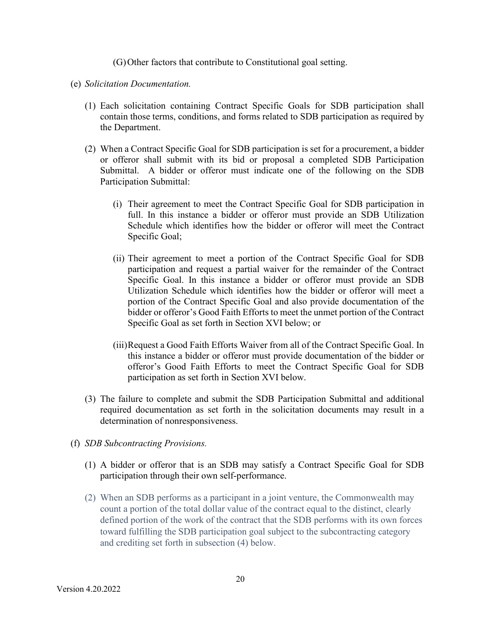(G)Other factors that contribute to Constitutional goal setting.

- (e) *Solicitation Documentation.*
	- (1) Each solicitation containing Contract Specific Goals for SDB participation shall contain those terms, conditions, and forms related to SDB participation as required by the Department.
	- (2) When a Contract Specific Goal for SDB participation is set for a procurement, a bidder or offeror shall submit with its bid or proposal a completed SDB Participation Submittal. A bidder or offeror must indicate one of the following on the SDB Participation Submittal:
		- (i) Their agreement to meet the Contract Specific Goal for SDB participation in full. In this instance a bidder or offeror must provide an SDB Utilization Schedule which identifies how the bidder or offeror will meet the Contract Specific Goal;
		- (ii) Their agreement to meet a portion of the Contract Specific Goal for SDB participation and request a partial waiver for the remainder of the Contract Specific Goal. In this instance a bidder or offeror must provide an SDB Utilization Schedule which identifies how the bidder or offeror will meet a portion of the Contract Specific Goal and also provide documentation of the bidder or offeror's Good Faith Efforts to meet the unmet portion of the Contract Specific Goal as set forth in Section XVI below; or
		- (iii)Request a Good Faith Efforts Waiver from all of the Contract Specific Goal. In this instance a bidder or offeror must provide documentation of the bidder or offeror's Good Faith Efforts to meet the Contract Specific Goal for SDB participation as set forth in Section XVI below.
	- (3) The failure to complete and submit the SDB Participation Submittal and additional required documentation as set forth in the solicitation documents may result in a determination of nonresponsiveness.
- (f) *SDB Subcontracting Provisions.*
	- (1) A bidder or offeror that is an SDB may satisfy a Contract Specific Goal for SDB participation through their own self-performance.
	- (2) When an SDB performs as a participant in a joint venture, the Commonwealth may count a portion of the total dollar value of the contract equal to the distinct, clearly defined portion of the work of the contract that the SDB performs with its own forces toward fulfilling the SDB participation goal subject to the subcontracting category and crediting set forth in subsection (4) below.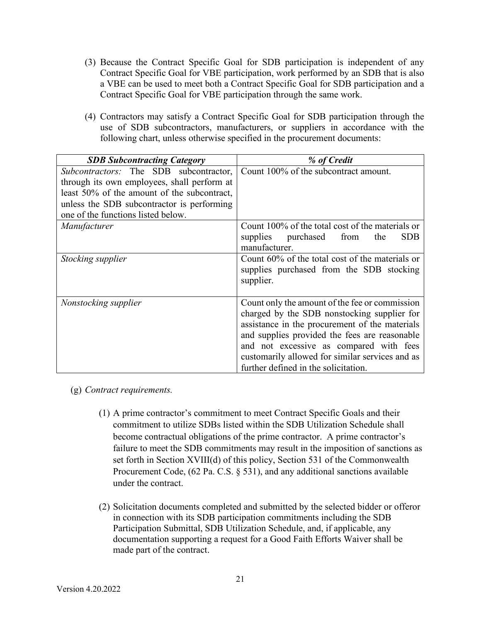- (3) Because the Contract Specific Goal for SDB participation is independent of any Contract Specific Goal for VBE participation, work performed by an SDB that is also a VBE can be used to meet both a Contract Specific Goal for SDB participation and a Contract Specific Goal for VBE participation through the same work.
- (4) Contractors may satisfy a Contract Specific Goal for SDB participation through the use of SDB subcontractors, manufacturers, or suppliers in accordance with the following chart, unless otherwise specified in the procurement documents:

| <b>SDB Subcontracting Category</b>                                                                                                                                                                                       | % of Credit                                                                                                                                                                                                                                                                                                                            |
|--------------------------------------------------------------------------------------------------------------------------------------------------------------------------------------------------------------------------|----------------------------------------------------------------------------------------------------------------------------------------------------------------------------------------------------------------------------------------------------------------------------------------------------------------------------------------|
| Subcontractors: The SDB subcontractor,<br>through its own employees, shall perform at<br>least 50% of the amount of the subcontract,<br>unless the SDB subcontractor is performing<br>one of the functions listed below. | Count 100% of the subcontract amount.                                                                                                                                                                                                                                                                                                  |
| Manufacturer                                                                                                                                                                                                             | Count 100% of the total cost of the materials or<br>supplies purchased<br><b>SDB</b><br>from<br>the<br>manufacturer.                                                                                                                                                                                                                   |
| Stocking supplier                                                                                                                                                                                                        | Count 60% of the total cost of the materials or<br>supplies purchased from the SDB stocking<br>supplier.                                                                                                                                                                                                                               |
| Nonstocking supplier                                                                                                                                                                                                     | Count only the amount of the fee or commission<br>charged by the SDB nonstocking supplier for<br>assistance in the procurement of the materials<br>and supplies provided the fees are reasonable<br>and not excessive as compared with fees<br>customarily allowed for similar services and as<br>further defined in the solicitation. |

(g) *Contract requirements.* 

- (1) A prime contractor's commitment to meet Contract Specific Goals and their commitment to utilize SDBs listed within the SDB Utilization Schedule shall become contractual obligations of the prime contractor. A prime contractor's failure to meet the SDB commitments may result in the imposition of sanctions as set forth in Section XVIII(d) of this policy, Section 531 of the Commonwealth Procurement Code, (62 Pa. C.S. § 531), and any additional sanctions available under the contract.
- (2) Solicitation documents completed and submitted by the selected bidder or offeror in connection with its SDB participation commitments including the SDB Participation Submittal, SDB Utilization Schedule, and, if applicable, any documentation supporting a request for a Good Faith Efforts Waiver shall be made part of the contract.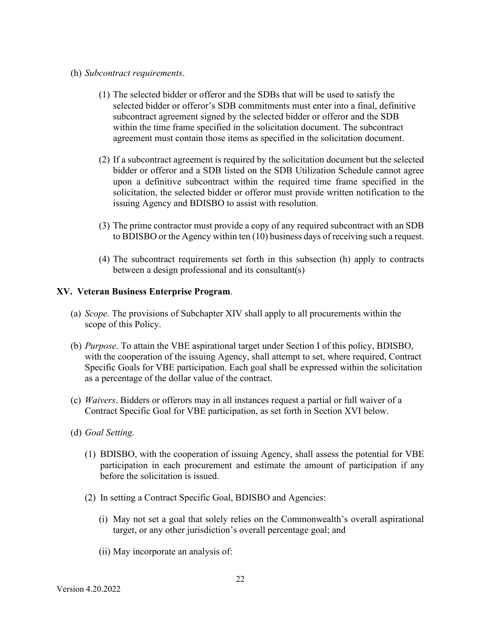- (h) *Subcontract requirements*.
	- (1) The selected bidder or offeror and the SDBs that will be used to satisfy the selected bidder or offeror's SDB commitments must enter into a final, definitive subcontract agreement signed by the selected bidder or offeror and the SDB within the time frame specified in the solicitation document. The subcontract agreement must contain those items as specified in the solicitation document.
	- (2) If a subcontract agreement is required by the solicitation document but the selected bidder or offeror and a SDB listed on the SDB Utilization Schedule cannot agree upon a definitive subcontract within the required time frame specified in the solicitation, the selected bidder or offeror must provide written notification to the issuing Agency and BDISBO to assist with resolution.
	- (3) The prime contractor must provide a copy of any required subcontract with an SDB to BDISBO or the Agency within ten (10) business days of receiving such a request.
	- (4) The subcontract requirements set forth in this subsection (h) apply to contracts between a design professional and its consultant(s)

### **XV. Veteran Business Enterprise Program**.

- (a) *Scope*. The provisions of Subchapter XIV shall apply to all procurements within the scope of this Policy.
- (b) *Purpose*. To attain the VBE aspirational target under Section I of this policy, BDISBO, with the cooperation of the issuing Agency, shall attempt to set, where required, Contract Specific Goals for VBE participation. Each goal shall be expressed within the solicitation as a percentage of the dollar value of the contract.
- (c) *Waivers*. Bidders or offerors may in all instances request a partial or full waiver of a Contract Specific Goal for VBE participation, as set forth in Section XVI below.
- (d) *Goal Setting*.
	- (1) BDISBO, with the cooperation of issuing Agency, shall assess the potential for VBE participation in each procurement and estimate the amount of participation if any before the solicitation is issued.
	- (2) In setting a Contract Specific Goal, BDISBO and Agencies:
		- (i) May not set a goal that solely relies on the Commonwealth's overall aspirational target, or any other jurisdiction's overall percentage goal; and
		- (ii) May incorporate an analysis of: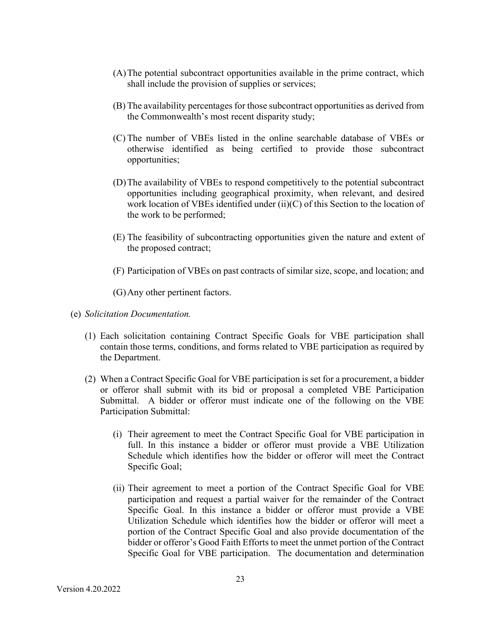- (A)The potential subcontract opportunities available in the prime contract, which shall include the provision of supplies or services;
- (B) The availability percentages for those subcontract opportunities as derived from the Commonwealth's most recent disparity study;
- (C) The number of VBEs listed in the online searchable database of VBEs or otherwise identified as being certified to provide those subcontract opportunities;
- (D)The availability of VBEs to respond competitively to the potential subcontract opportunities including geographical proximity, when relevant, and desired work location of VBEs identified under (ii)(C) of this Section to the location of the work to be performed;
- (E) The feasibility of subcontracting opportunities given the nature and extent of the proposed contract;
- (F) Participation of VBEs on past contracts of similar size, scope, and location; and

(G)Any other pertinent factors.

- (e) *Solicitation Documentation.*
	- (1) Each solicitation containing Contract Specific Goals for VBE participation shall contain those terms, conditions, and forms related to VBE participation as required by the Department.
	- (2) When a Contract Specific Goal for VBE participation is set for a procurement, a bidder or offeror shall submit with its bid or proposal a completed VBE Participation Submittal. A bidder or offeror must indicate one of the following on the VBE Participation Submittal:
		- (i) Their agreement to meet the Contract Specific Goal for VBE participation in full. In this instance a bidder or offeror must provide a VBE Utilization Schedule which identifies how the bidder or offeror will meet the Contract Specific Goal;
		- (ii) Their agreement to meet a portion of the Contract Specific Goal for VBE participation and request a partial waiver for the remainder of the Contract Specific Goal. In this instance a bidder or offeror must provide a VBE Utilization Schedule which identifies how the bidder or offeror will meet a portion of the Contract Specific Goal and also provide documentation of the bidder or offeror's Good Faith Efforts to meet the unmet portion of the Contract Specific Goal for VBE participation. The documentation and determination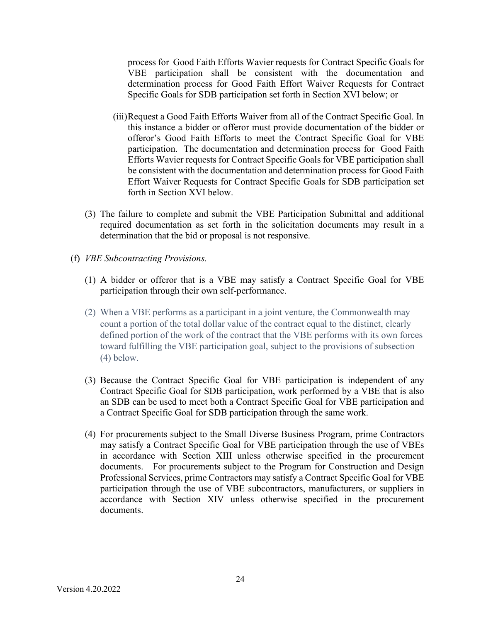process for Good Faith Efforts Wavier requests for Contract Specific Goals for VBE participation shall be consistent with the documentation and determination process for Good Faith Effort Waiver Requests for Contract Specific Goals for SDB participation set forth in Section XVI below; or

- (iii)Request a Good Faith Efforts Waiver from all of the Contract Specific Goal. In this instance a bidder or offeror must provide documentation of the bidder or offeror's Good Faith Efforts to meet the Contract Specific Goal for VBE participation. The documentation and determination process for Good Faith Efforts Wavier requests for Contract Specific Goals for VBE participation shall be consistent with the documentation and determination process for Good Faith Effort Waiver Requests for Contract Specific Goals for SDB participation set forth in Section XVI below.
- (3) The failure to complete and submit the VBE Participation Submittal and additional required documentation as set forth in the solicitation documents may result in a determination that the bid or proposal is not responsive.
- (f) *VBE Subcontracting Provisions.*
	- (1) A bidder or offeror that is a VBE may satisfy a Contract Specific Goal for VBE participation through their own self-performance.
	- (2) When a VBE performs as a participant in a joint venture, the Commonwealth may count a portion of the total dollar value of the contract equal to the distinct, clearly defined portion of the work of the contract that the VBE performs with its own forces toward fulfilling the VBE participation goal, subject to the provisions of subsection (4) below.
	- (3) Because the Contract Specific Goal for VBE participation is independent of any Contract Specific Goal for SDB participation, work performed by a VBE that is also an SDB can be used to meet both a Contract Specific Goal for VBE participation and a Contract Specific Goal for SDB participation through the same work.
	- (4) For procurements subject to the Small Diverse Business Program, prime Contractors may satisfy a Contract Specific Goal for VBE participation through the use of VBEs in accordance with Section XIII unless otherwise specified in the procurement documents. For procurements subject to the Program for Construction and Design Professional Services, prime Contractors may satisfy a Contract Specific Goal for VBE participation through the use of VBE subcontractors, manufacturers, or suppliers in accordance with Section XIV unless otherwise specified in the procurement documents.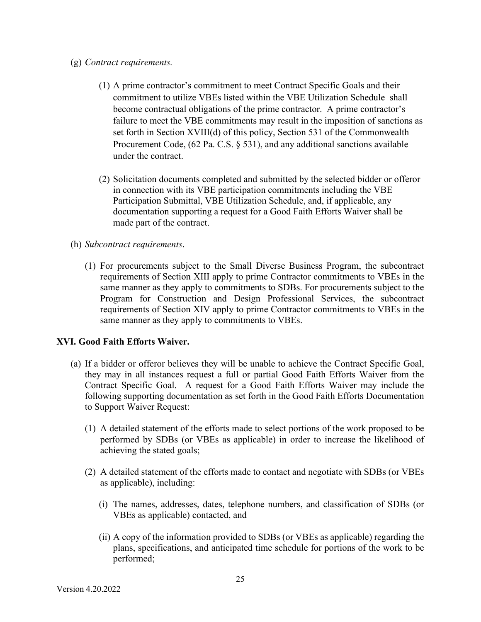- (g) *Contract requirements.* 
	- (1) A prime contractor's commitment to meet Contract Specific Goals and their commitment to utilize VBEs listed within the VBE Utilization Schedule shall become contractual obligations of the prime contractor. A prime contractor's failure to meet the VBE commitments may result in the imposition of sanctions as set forth in Section XVIII(d) of this policy, Section 531 of the Commonwealth Procurement Code, (62 Pa. C.S. § 531), and any additional sanctions available under the contract.
	- (2) Solicitation documents completed and submitted by the selected bidder or offeror in connection with its VBE participation commitments including the VBE Participation Submittal, VBE Utilization Schedule, and, if applicable, any documentation supporting a request for a Good Faith Efforts Waiver shall be made part of the contract.
- (h) *Subcontract requirements*.
	- (1) For procurements subject to the Small Diverse Business Program, the subcontract requirements of Section XIII apply to prime Contractor commitments to VBEs in the same manner as they apply to commitments to SDBs. For procurements subject to the Program for Construction and Design Professional Services, the subcontract requirements of Section XIV apply to prime Contractor commitments to VBEs in the same manner as they apply to commitments to VBEs.

# **XVI. Good Faith Efforts Waiver.**

- (a) If a bidder or offeror believes they will be unable to achieve the Contract Specific Goal, they may in all instances request a full or partial Good Faith Efforts Waiver from the Contract Specific Goal. A request for a Good Faith Efforts Waiver may include the following supporting documentation as set forth in the Good Faith Efforts Documentation to Support Waiver Request:
	- (1) A detailed statement of the efforts made to select portions of the work proposed to be performed by SDBs (or VBEs as applicable) in order to increase the likelihood of achieving the stated goals;
	- (2) A detailed statement of the efforts made to contact and negotiate with SDBs (or VBEs as applicable), including:
		- (i) The names, addresses, dates, telephone numbers, and classification of SDBs (or VBEs as applicable) contacted, and
		- (ii) A copy of the information provided to SDBs (or VBEs as applicable) regarding the plans, specifications, and anticipated time schedule for portions of the work to be performed;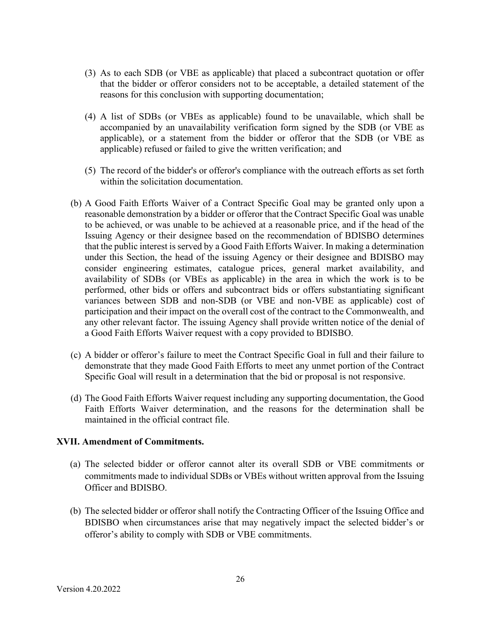- (3) As to each SDB (or VBE as applicable) that placed a subcontract quotation or offer that the bidder or offeror considers not to be acceptable, a detailed statement of the reasons for this conclusion with supporting documentation;
- (4) A list of SDBs (or VBEs as applicable) found to be unavailable, which shall be accompanied by an unavailability verification form signed by the SDB (or VBE as applicable), or a statement from the bidder or offeror that the SDB (or VBE as applicable) refused or failed to give the written verification; and
- (5) The record of the bidder's or offeror's compliance with the outreach efforts as set forth within the solicitation documentation.
- (b) A Good Faith Efforts Waiver of a Contract Specific Goal may be granted only upon a reasonable demonstration by a bidder or offeror that the Contract Specific Goal was unable to be achieved, or was unable to be achieved at a reasonable price, and if the head of the Issuing Agency or their designee based on the recommendation of BDISBO determines that the public interest is served by a Good Faith Efforts Waiver. In making a determination under this Section, the head of the issuing Agency or their designee and BDISBO may consider engineering estimates, catalogue prices, general market availability, and availability of SDBs (or VBEs as applicable) in the area in which the work is to be performed, other bids or offers and subcontract bids or offers substantiating significant variances between SDB and non-SDB (or VBE and non-VBE as applicable) cost of participation and their impact on the overall cost of the contract to the Commonwealth, and any other relevant factor. The issuing Agency shall provide written notice of the denial of a Good Faith Efforts Waiver request with a copy provided to BDISBO.
- (c) A bidder or offeror's failure to meet the Contract Specific Goal in full and their failure to demonstrate that they made Good Faith Efforts to meet any unmet portion of the Contract Specific Goal will result in a determination that the bid or proposal is not responsive.
- (d) The Good Faith Efforts Waiver request including any supporting documentation, the Good Faith Efforts Waiver determination, and the reasons for the determination shall be maintained in the official contract file.

### **XVII. Amendment of Commitments.**

- (a) The selected bidder or offeror cannot alter its overall SDB or VBE commitments or commitments made to individual SDBs or VBEs without written approval from the Issuing Officer and BDISBO.
- (b) The selected bidder or offeror shall notify the Contracting Officer of the Issuing Office and BDISBO when circumstances arise that may negatively impact the selected bidder's or offeror's ability to comply with SDB or VBE commitments.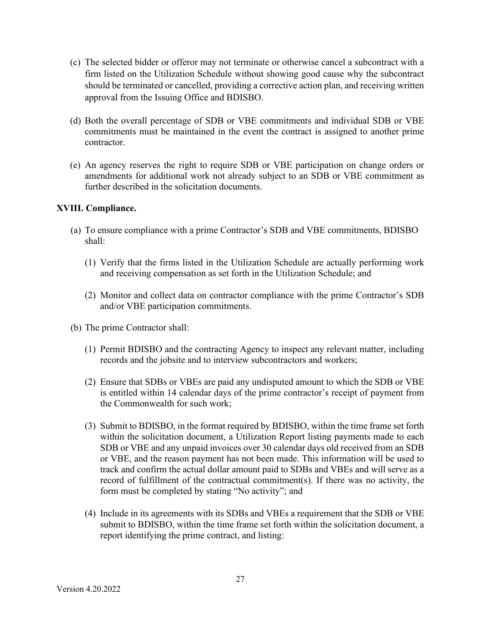- (c) The selected bidder or offeror may not terminate or otherwise cancel a subcontract with a firm listed on the Utilization Schedule without showing good cause why the subcontract should be terminated or cancelled, providing a corrective action plan, and receiving written approval from the Issuing Office and BDISBO.
- (d) Both the overall percentage of SDB or VBE commitments and individual SDB or VBE commitments must be maintained in the event the contract is assigned to another prime contractor.
- (e) An agency reserves the right to require SDB or VBE participation on change orders or amendments for additional work not already subject to an SDB or VBE commitment as further described in the solicitation documents.

## **XVIII. Compliance.**

- (a) To ensure compliance with a prime Contractor's SDB and VBE commitments, BDISBO shall:
	- (1) Verify that the firms listed in the Utilization Schedule are actually performing work and receiving compensation as set forth in the Utilization Schedule; and
	- (2) Monitor and collect data on contractor compliance with the prime Contractor's SDB and/or VBE participation commitments.
- (b) The prime Contractor shall:
	- (1) Permit BDISBO and the contracting Agency to inspect any relevant matter, including records and the jobsite and to interview subcontractors and workers;
	- (2) Ensure that SDBs or VBEs are paid any undisputed amount to which the SDB or VBE is entitled within 14 calendar days of the prime contractor's receipt of payment from the Commonwealth for such work;
	- (3) Submit to BDISBO, in the format required by BDISBO, within the time frame set forth within the solicitation document, a Utilization Report listing payments made to each SDB or VBE and any unpaid invoices over 30 calendar days old received from an SDB or VBE, and the reason payment has not been made. This information will be used to track and confirm the actual dollar amount paid to SDBs and VBEs and will serve as a record of fulfillment of the contractual commitment(s). If there was no activity, the form must be completed by stating "No activity"; and
	- (4) Include in its agreements with its SDBs and VBEs a requirement that the SDB or VBE submit to BDISBO, within the time frame set forth within the solicitation document, a report identifying the prime contract, and listing: